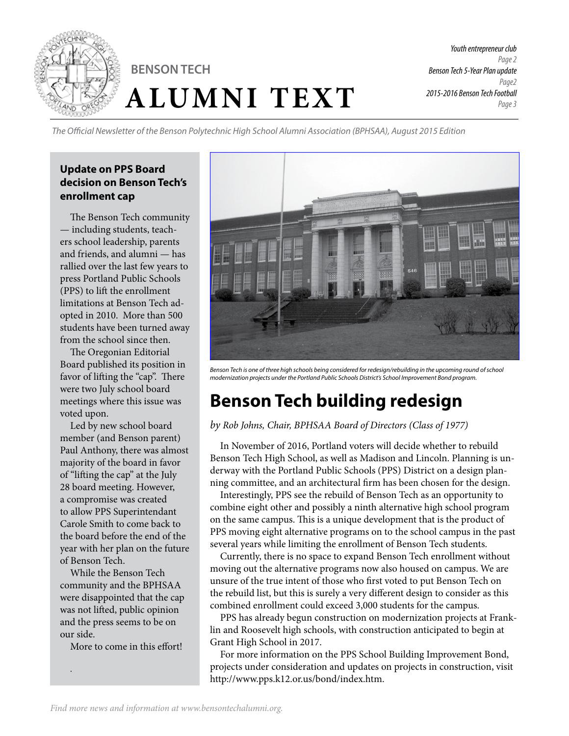

*Youth entrepreneur club Page 2 Benson Tech 5-Year Plan update Page2 2015-2016 Benson Tech Football Page 3*

*The Official Newsletter of the Benson Polytechnic High School Alumni Association (BPHSAA), August 2015 Edition*

#### **Update on PPS Board decision on Benson Tech's enrollment cap**

The Benson Tech community — including students, teachers school leadership, parents and friends, and alumni — has rallied over the last few years to press Portland Public Schools (PPS) to lift the enrollment limitations at Benson Tech adopted in 2010. More than 500 students have been turned away from the school since then.

The Oregonian Editorial Board published its position in favor of lifting the "cap". There were two July school board meetings where this issue was voted upon.

Led by new school board member (and Benson parent) Paul Anthony, there was almost majority of the board in favor of "lifting the cap" at the July 28 board meeting. However, a compromise was created to allow PPS Superintendant Carole Smith to come back to the board before the end of the year with her plan on the future of Benson Tech.

While the Benson Tech community and the BPHSAA were disappointed that the cap was not lifted, public opinion and the press seems to be on our side.

More to come in this effort!

.



Benson Tech is one of three high schools being considered for redesign/rebuilding in the upcoming round of school *modernization projects under the Portland Public Schools District's School Improvement Bond program.* 

# **Benson Tech building redesign**

*by Rob Johns, Chair, BPHSAA Board of Directors (Class of 1977)*

In November of 2016, Portland voters will decide whether to rebuild Benson Tech High School, as well as Madison and Lincoln. Planning is underway with the Portland Public Schools (PPS) District on a design planning committee, and an architectural firm has been chosen for the design.

Interestingly, PPS see the rebuild of Benson Tech as an opportunity to combine eight other and possibly a ninth alternative high school program on the same campus. This is a unique development that is the product of PPS moving eight alternative programs on to the school campus in the past several years while limiting the enrollment of Benson Tech students.

Currently, there is no space to expand Benson Tech enrollment without moving out the alternative programs now also housed on campus. We are unsure of the true intent of those who first voted to put Benson Tech on the rebuild list, but this is surely a very different design to consider as this combined enrollment could exceed 3,000 students for the campus.

PPS has already begun construction on modernization projects at Franklin and Roosevelt high schools, with construction anticipated to begin at Grant High School in 2017.

For more information on the PPS School Building Improvement Bond, projects under consideration and updates on projects in construction, visit http://www.pps.k12.or.us/bond/index.htm.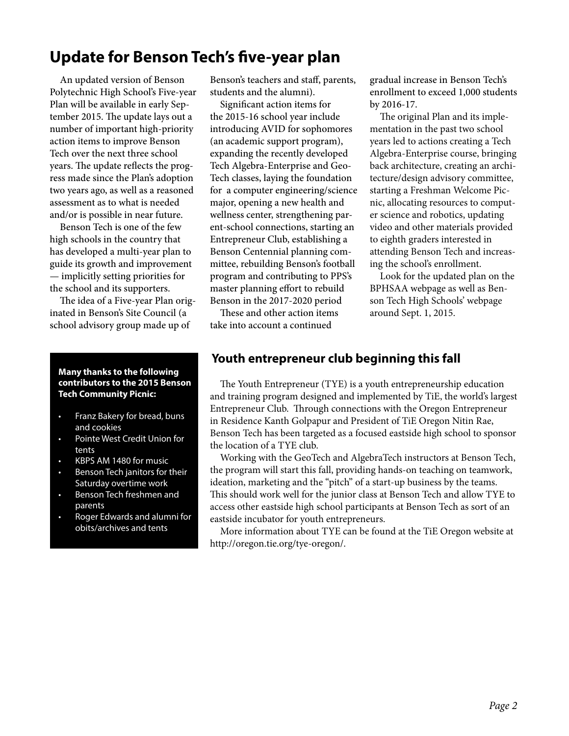## **Update for Benson Tech's five-year plan**

An updated version of Benson Polytechnic High School's Five-year Plan will be available in early September 2015. The update lays out a number of important high-priority action items to improve Benson Tech over the next three school years. The update reflects the progress made since the Plan's adoption two years ago, as well as a reasoned assessment as to what is needed and/or is possible in near future.

Benson Tech is one of the few high schools in the country that has developed a multi-year plan to guide its growth and improvement — implicitly setting priorities for the school and its supporters.

The idea of a Five-year Plan originated in Benson's Site Council (a school advisory group made up of

#### **Many thanks to the following contributors to the 2015 Benson Tech Community Picnic:**

- Franz Bakery for bread, buns and cookies
- Pointe West Credit Union for tents
- KBPS AM 1480 for music
- Benson Tech janitors for their Saturday overtime work
- Benson Tech freshmen and parents
- Roger Edwards and alumni for obits/archives and tents

Benson's teachers and staff, parents, students and the alumni).

Significant action items for the 2015-16 school year include introducing AVID for sophomores (an academic support program), expanding the recently developed Tech Algebra-Enterprise and Geo-Tech classes, laying the foundation for a computer engineering/science major, opening a new health and wellness center, strengthening parent-school connections, starting an Entrepreneur Club, establishing a Benson Centennial planning committee, rebuilding Benson's football program and contributing to PPS's master planning effort to rebuild Benson in the 2017-2020 period

These and other action items take into account a continued

gradual increase in Benson Tech's enrollment to exceed 1,000 students by 2016-17.

The original Plan and its implementation in the past two school years led to actions creating a Tech Algebra-Enterprise course, bringing back architecture, creating an architecture/design advisory committee, starting a Freshman Welcome Picnic, allocating resources to computer science and robotics, updating video and other materials provided to eighth graders interested in attending Benson Tech and increasing the school's enrollment.

Look for the updated plan on the BPHSAA webpage as well as Benson Tech High Schools' webpage around Sept. 1, 2015.

### **Youth entrepreneur club beginning this fall**

The Youth Entrepreneur (TYE) is a youth entrepreneurship education and training program designed and implemented by TiE, the world's largest Entrepreneur Club. Through connections with the Oregon Entrepreneur in Residence Kanth Golpapur and President of TiE Oregon Nitin Rae, Benson Tech has been targeted as a focused eastside high school to sponsor the location of a TYE club.

Working with the GeoTech and AlgebraTech instructors at Benson Tech, the program will start this fall, providing hands-on teaching on teamwork, ideation, marketing and the "pitch" of a start-up business by the teams. This should work well for the junior class at Benson Tech and allow TYE to access other eastside high school participants at Benson Tech as sort of an eastside incubator for youth entrepreneurs.

More information about TYE can be found at the TiE Oregon website at http://oregon.tie.org/tye-oregon/.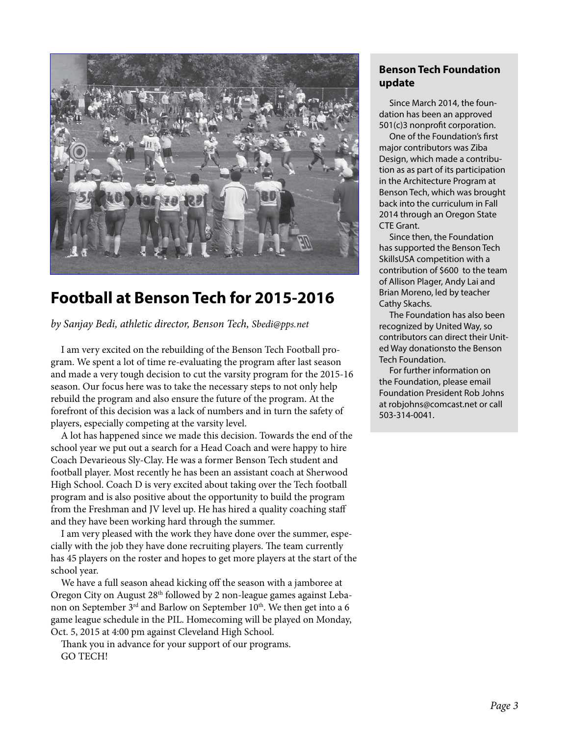

## **Football at Benson Tech for 2015-2016**

*by Sanjay Bedi, athletic director, Benson Tech, Sbedi@pps.net*

I am very excited on the rebuilding of the Benson Tech Football program. We spent a lot of time re-evaluating the program after last season and made a very tough decision to cut the varsity program for the 2015-16 season. Our focus here was to take the necessary steps to not only help rebuild the program and also ensure the future of the program. At the forefront of this decision was a lack of numbers and in turn the safety of players, especially competing at the varsity level.

A lot has happened since we made this decision. Towards the end of the school year we put out a search for a Head Coach and were happy to hire Coach Devarieous Sly-Clay. He was a former Benson Tech student and football player. Most recently he has been an assistant coach at Sherwood High School. Coach D is very excited about taking over the Tech football program and is also positive about the opportunity to build the program from the Freshman and JV level up. He has hired a quality coaching staff and they have been working hard through the summer.

I am very pleased with the work they have done over the summer, especially with the job they have done recruiting players. The team currently has 45 players on the roster and hopes to get more players at the start of the school year.

We have a full season ahead kicking off the season with a jamboree at Oregon City on August  $28<sup>th</sup>$  followed by 2 non-league games against Lebanon on September  $3<sup>rd</sup>$  and Barlow on September  $10<sup>th</sup>$ . We then get into a 6 game league schedule in the PIL. Homecoming will be played on Monday, Oct. 5, 2015 at 4:00 pm against Cleveland High School.

Thank you in advance for your support of our programs. GO TECH!

#### **Benson Tech Foundation update**

Since March 2014, the foundation has been an approved 501(c)3 nonprofit corporation.

One of the Foundation's first major contributors was Ziba Design, which made a contribution as as part of its participation in the Architecture Program at Benson Tech, which was brought back into the curriculum in Fall 2014 through an Oregon State CTE Grant.

Since then, the Foundation has supported the Benson Tech SkillsUSA competition with a contribution of \$600 to the team of Allison Plager, Andy Lai and Brian Moreno, led by teacher Cathy Skachs.

The Foundation has also been recognized by United Way, so contributors can direct their United Way donationsto the Benson Tech Foundation.

For further information on the Foundation, please email Foundation President Rob Johns at robjohns@comcast.net or call 503-314-0041.